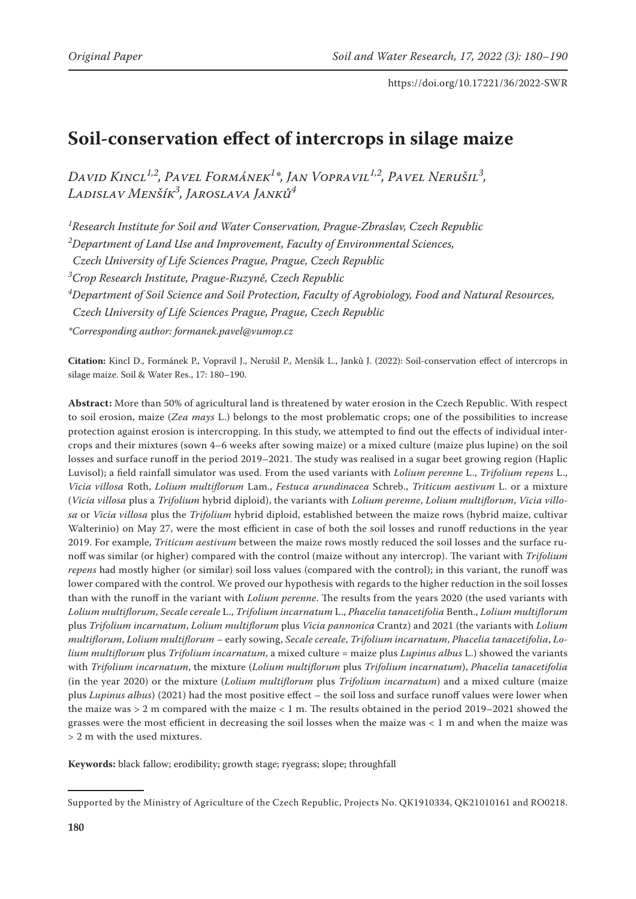# **Soil-conservation effect of intercrops in silage maize**

*David Kincl1,2, Pavel Formánek1 \*, Jan Vopravil1,2, Pavel Nerušil3 , Ladislav Menšík3 , Jaroslava Janků4*

*1 Research Institute for Soil and Water Conservation, Prague-Zbraslav, Czech Republic*

*2 Department of Land Use and Improvement, Faculty of Environmental Sciences,*

*Czech University of Life Sciences Prague, Prague, Czech Republic*

*3 Crop Research Institute, Prague-Ruzyně, Czech Republic*

*4 Department of Soil Science and Soil Protection, Faculty of Agrobiology, Food and Natural Resources,* 

*Czech University of Life Sciences Prague, Prague, Czech Republic*

*\*Corresponding author: formanek.pavel@vumop.cz* 

**Citation:** Kincl D., Formánek P., Vopravil J., Nerušil P., Menšík L., Janků J. (2022): Soil-conservation effect of intercrops in silage maize. Soil & Water Res., 17: 180–190.

**Abstract:** More than 50% of agricultural land is threatened by water erosion in the Czech Republic. With respect to soil erosion, maize (*Zea mays* L.) belongs to the most problematic crops; one of the possibilities to increase protection against erosion is intercropping. In this study, we attempted to find out the effects of individual intercrops and their mixtures (sown 4–6 weeks after sowing maize) or a mixed culture (maize plus lupine) on the soil losses and surface runoff in the period 2019–2021. The study was realised in a sugar beet growing region (Haplic Luvisol); a field rainfall simulator was used. From the used variants with *Lolium perenne* L., *Trifolium repens* L., *Vicia villosa* Roth, *Lolium multiflorum* Lam., *Festuca arundinacea* Schreb., *Triticum aestivum* L. or a mixture (*Vicia villosa* plus a *Trifolium* hybrid diploid), the variants with *Lolium perenne*, *Lolium multiflorum*, *Vicia villosa* or *Vicia villosa* plus the *Trifolium* hybrid diploid, established between the maize rows (hybrid maize, cultivar Walterinio) on May 27, were the most efficient in case of both the soil losses and runoff reductions in the year 2019. For example, *Triticum aestivum* between the maize rows mostly reduced the soil losses and the surface runoff was similar (or higher) compared with the control (maize without any intercrop). The variant with *Trifolium repens* had mostly higher (or similar) soil loss values (compared with the control); in this variant, the runoff was lower compared with the control. We proved our hypothesis with regards to the higher reduction in the soil losses than with the runoff in the variant with *Lolium perenne*. The results from the years 2020 (the used variants with *Lolium multiflorum*, *Secale cereale* L., *Trifolium incarnatum* L., *Phacelia tanacetifolia* Benth., *Lolium multiflorum* plus *Trifolium incarnatum*, *Lolium multiflorum* plus *Vicia pannonica* Crantz) and 2021 (the variants with *Lolium multiflorum*, *Lolium multiflorum* – early sowing, *Secale cereale*, *Trifolium incarnatum*, *Phacelia tanacetifolia*, *Lolium multiflorum* plus *Trifolium incarnatum*, a mixed culture = maize plus *Lupinus albus* L.) showed the variants with *Trifolium incarnatum*, the mixture (*Lolium multiflorum* plus *Trifolium incarnatum*), *Phacelia tanacetifolia* (in the year 2020) or the mixture (*Lolium multiflorum* plus *Trifolium incarnatum*) and a mixed culture (maize plus *Lupinus albus*) (2021) had the most positive effect – the soil loss and surface runoff values were lower when the maize was > 2 m compared with the maize < 1 m. The results obtained in the period 2019–2021 showed the grasses were the most efficient in decreasing the soil losses when the maize was < 1 m and when the maize was > 2 m with the used mixtures.

**Keywords:** black fallow; erodibility; growth stage; ryegrass; slope; throughfall

Supported by the Ministry of Agriculture of the Czech Republic, Projects No. QK1910334, QK21010161 and RO0218.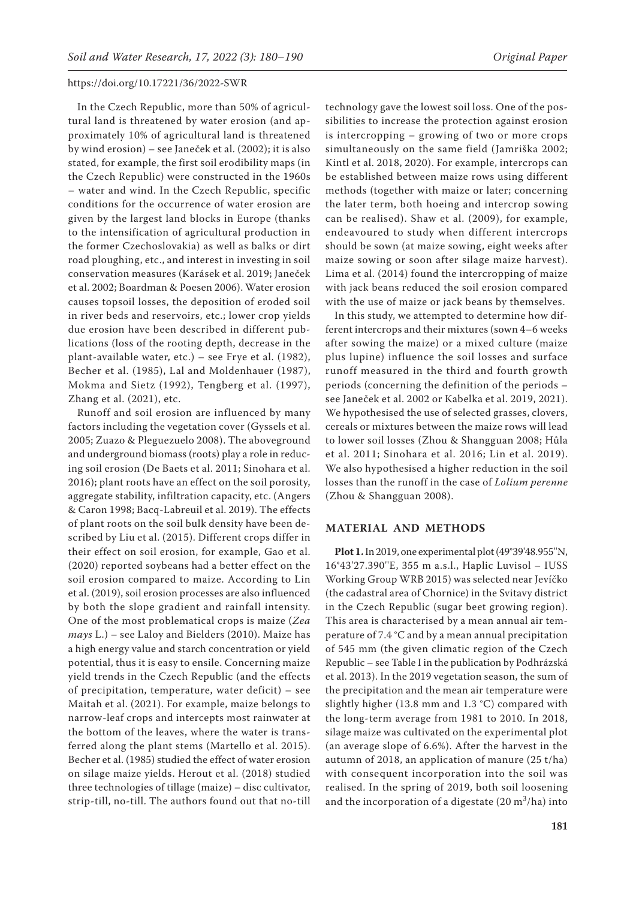In the Czech Republic, more than 50% of agricultural land is threatened by water erosion (and approximately 10% of agricultural land is threatened by wind erosion) – see Janeček et al. (2002); it is also stated, for example, the first soil erodibility maps (in the Czech Republic) were constructed in the 1960s – water and wind. In the Czech Republic, specific conditions for the occurrence of water erosion are given by the largest land blocks in Europe (thanks to the intensification of agricultural production in the former Czechoslovakia) as well as balks or dirt road ploughing, etc., and interest in investing in soil conservation measures (Karásek et al. 2019; Janeček et al. 2002; Boardman & Poesen 2006). Water erosion causes topsoil losses, the deposition of eroded soil in river beds and reservoirs, etc.; lower crop yields due erosion have been described in different publications (loss of the rooting depth, decrease in the plant‐available water, etc.) – see Frye et al. (1982), Becher et al. (1985), Lal and Moldenhauer (1987), Mokma and Sietz (1992), Tengberg et al. (1997), Zhang et al. (2021), etc.

Runoff and soil erosion are influenced by many factors including the vegetation cover (Gyssels et al. 2005; Zuazo & Pleguezuelo 2008). The aboveground and underground biomass (roots) play a role in reducing soil erosion (De Baets et al. 2011; Sinohara et al. 2016); plant roots have an effect on the soil porosity, aggregate stability, infiltration capacity, etc. (Angers & Caron 1998; Bacq-Labreuil et al. 2019). The effects of plant roots on the soil bulk density have been described by Liu et al. (2015). Different crops differ in their effect on soil erosion, for example, Gao et al. (2020) reported soybeans had a better effect on the soil erosion compared to maize. According to Lin et al. (2019), soil erosion processes are also influenced by both the slope gradient and rainfall intensity. One of the most problematical crops is maize (*Zea mays* L.) – see Laloy and Bielders (2010). Maize has a high energy value and starch concentration or yield potential, thus it is easy to ensile. Concerning maize yield trends in the Czech Republic (and the effects of precipitation, temperature, water deficit) – see Maitah et al. (2021). For example, maize belongs to narrow-leaf crops and intercepts most rainwater at the bottom of the leaves, where the water is transferred along the plant stems (Martello et al. 2015). Becher et al. (1985) studied the effect of water erosion on silage maize yields. Herout et al. (2018) studied three technologies of tillage (maize) – disc cultivator, strip-till, no-till. The authors found out that no-till

technology gave the lowest soil loss. One of the possibilities to increase the protection against erosion is intercropping – growing of two or more crops simultaneously on the same field (Jamriška 2002; Kintl et al. 2018, 2020). For example, intercrops can be established between maize rows using different methods (together with maize or later; concerning the later term, both hoeing and intercrop sowing can be realised). Shaw et al. (2009), for example, endeavoured to study when different intercrops should be sown (at maize sowing, eight weeks after maize sowing or soon after silage maize harvest). Lima et al. (2014) found the intercropping of maize with jack beans reduced the soil erosion compared with the use of maize or jack beans by themselves.

In this study, we attempted to determine how different intercrops and their mixtures (sown 4–6 weeks after sowing the maize) or a mixed culture (maize plus lupine) influence the soil losses and surface runoff measured in the third and fourth growth periods (concerning the definition of the periods – see Janeček et al. 2002 or Kabelka et al. 2019, 2021). We hypothesised the use of selected grasses, clovers, cereals or mixtures between the maize rows will lead to lower soil losses (Zhou & Shangguan 2008; Hůla et al. 2011; Sinohara et al. 2016; Lin et al. 2019). We also hypothesised a higher reduction in the soil losses than the runoff in the case of *Lolium perenne* (Zhou & Shangguan 2008).

#### **MATERIAL AND METHODS**

**Plot 1.** In 2019, one experimental plot (49°39'48.955''N, 16°43'27.390''E, 355 m a.s.l., Haplic Luvisol – IUSS Working Group WRB 2015) was selected near Jevíčko (the cadastral area of Chornice) in the Svitavy district in the Czech Republic (sugar beet growing region). This area is characterised by a mean annual air temperature of 7.4 °C and by a mean annual precipitation of 545 mm (the given climatic region of the Czech Republic – see Table I in the publication by Podhrázská et al. 2013). In the 2019 vegetation season, the sum of the precipitation and the mean air temperature were slightly higher (13.8 mm and 1.3 °C) compared with the long-term average from 1981 to 2010. In 2018, silage maize was cultivated on the experimental plot (an average slope of 6.6%). After the harvest in the autumn of 2018, an application of manure (25 t/ha) with consequent incorporation into the soil was realised. In the spring of 2019, both soil loosening and the incorporation of a digestate  $(20 \text{ m}^3/\text{ha})$  into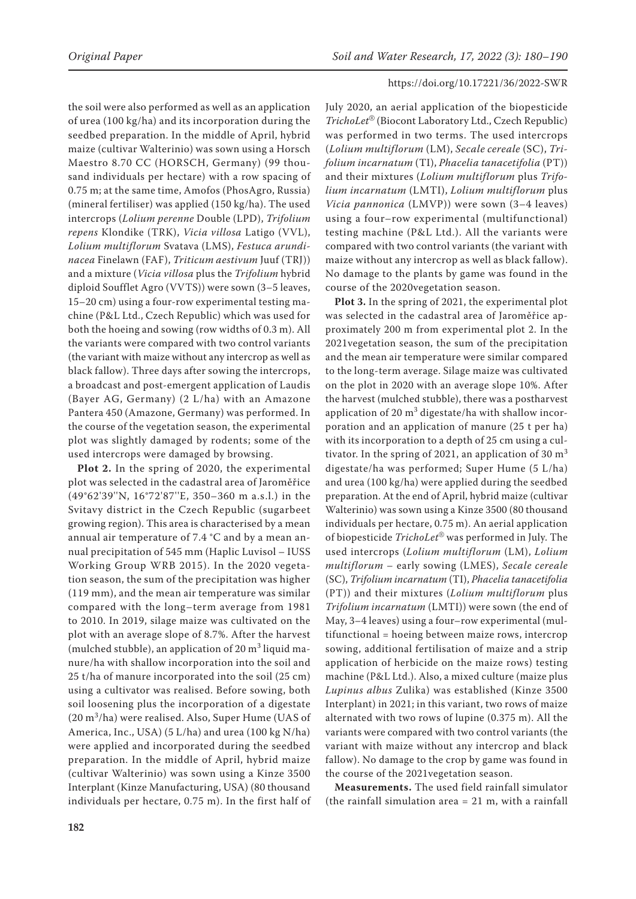the soil were also performed as well as an application of urea (100 kg/ha) and its incorporation during the seedbed preparation. In the middle of April, hybrid maize (cultivar Walterinio) was sown using a Horsch Maestro 8.70 CC (HORSCH, Germany) (99 thousand individuals per hectare) with a row spacing of 0.75 m; at the same time, Amofos (PhosAgro, Russia) (mineral fertiliser) was applied (150 kg/ha). The used intercrops (*Lolium perenne* Double (LPD), *Trifolium repens* Klondike (TRK), *Vicia villosa* Latigo (VVL), *Lolium multiflorum* Svatava (LMS), *Festuca arundinacea* Finelawn (FAF), *Triticum aestivum* Juuf (TRJ)) and a mixture (*Vicia villosa* plus the *Trifolium* hybrid diploid Soufflet Agro (VVTS)) were sown (3–5 leaves, 15–20 cm) using a four-row experimental testing machine (P&L Ltd., Czech Republic) which was used for both the hoeing and sowing (row widths of 0.3 m). All the variants were compared with two control variants (the variant with maize without any intercrop as well as black fallow). Three days after sowing the intercrops, a broadcast and post-emergent application of Laudis (Bayer AG, Germany) (2 L/ha) with an Amazone Pantera 450 (Amazone, Germany) was performed. In the course of the vegetation season, the experimental plot was slightly damaged by rodents; some of the used intercrops were damaged by browsing.

**Plot 2.** In the spring of 2020, the experimental plot was selected in the cadastral area of Jaroměřice (49°62'39''N, 16°72'87''E, 350–360 m a.s.l.) in the Svitavy district in the Czech Republic (sugarbeet growing region). This area is characterised by a mean annual air temperature of 7.4 °C and by a mean annual precipitation of 545 mm (Haplic Luvisol – IUSS Working Group WRB 2015). In the 2020 vegetation season, the sum of the precipitation was higher (119 mm), and the mean air temperature was similar compared with the long–term average from 1981 to 2010. In 2019, silage maize was cultivated on the plot with an average slope of 8.7%. After the harvest (mulched stubble), an application of 20  $\text{m}^3$  liquid manure/ha with shallow incorporation into the soil and 25 t/ha of manure incorporated into the soil (25 cm) using a cultivator was realised. Before sowing, both soil loosening plus the incorporation of a digestate  $(20 \text{ m}^3/\text{ha})$  were realised. Also, Super Hume (UAS of America, Inc., USA) (5 L/ha) and urea (100 kg N/ha) were applied and incorporated during the seedbed preparation. In the middle of April, hybrid maize (cultivar Walterinio) was sown using a Kinze 3500 Interplant (Kinze Manufacturing, USA) (80 thousand individuals per hectare, 0.75 m). In the first half of July 2020, an aerial application of the biopesticide *TrichoLet*® (Biocont Laboratory Ltd., Czech Republic) was performed in two terms. The used intercrops (*Lolium multiflorum* (LM), *Secale cereale* (SC), *Trifolium incarnatum* (TI), *Phacelia tanacetifolia* (PT)) and their mixtures (*Lolium multiflorum* plus *Trifolium incarnatum* (LMTI), *Lolium multiflorum* plus *Vicia pannonica* (LMVP)) were sown (3–4 leaves) using a four–row experimental (multifunctional) testing machine (P&L Ltd.). All the variants were compared with two control variants (the variant with maize without any intercrop as well as black fallow). No damage to the plants by game was found in the course of the 2020vegetation season.

**Plot 3.** In the spring of 2021, the experimental plot was selected in the cadastral area of Jaroměřice approximately 200 m from experimental plot 2. In the 2021vegetation season, the sum of the precipitation and the mean air temperature were similar compared to the long-term average. Silage maize was cultivated on the plot in 2020 with an average slope 10%. After the harvest (mulched stubble), there was a postharvest application of 20  $\text{m}^3$  digestate/ha with shallow incorporation and an application of manure (25 t per ha) with its incorporation to a depth of 25 cm using a cultivator. In the spring of 2021, an application of 30  $m<sup>3</sup>$ digestate/ha was performed; Super Hume (5 L/ha) and urea (100 kg/ha) were applied during the seedbed preparation. At the end of April, hybrid maize (cultivar Walterinio) was sown using a Kinze 3500 (80 thousand individuals per hectare, 0.75 m). An aerial application of biopesticide *TrichoLet*® was performed in July. The used intercrops (*Lolium multiflorum* (LM), *Lolium multiflorum* – early sowing (LMES), *Secale cereale* (SC), *Trifolium incarnatum* (TI), *Phacelia tanacetifolia* (PT)) and their mixtures (*Lolium multiflorum* plus *Trifolium incarnatum* (LMTI)) were sown (the end of May, 3–4 leaves) using a four–row experimental (multifunctional = hoeing between maize rows, intercrop sowing, additional fertilisation of maize and a strip application of herbicide on the maize rows) testing machine (P&L Ltd.). Also, a mixed culture (maize plus *Lupinus albus* Zulika) was established (Kinze 3500 Interplant) in 2021; in this variant, two rows of maize alternated with two rows of lupine (0.375 m). All the variants were compared with two control variants (the variant with maize without any intercrop and black fallow). No damage to the crop by game was found in the course of the 2021vegetation season.

**Measurements.** The used field rainfall simulator (the rainfall simulation area  $= 21$  m, with a rainfall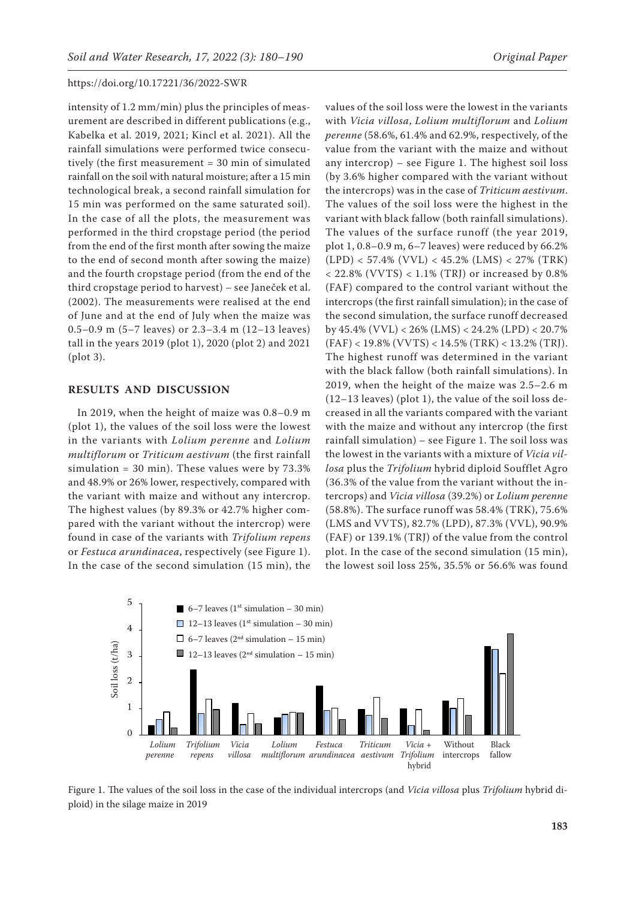intensity of 1.2 mm/min) plus the principles of measurement are described in different publications (e.g., Kabelka et al. 2019, 2021; Kincl et al. 2021). All the rainfall simulations were performed twice consecutively (the first measurement = 30 min of simulated rainfall on the soil with natural moisture; after a 15 min technological break, a second rainfall simulation for 15 min was performed on the same saturated soil). In the case of all the plots, the measurement was performed in the third cropstage period (the period from the end of the first month after sowing the maize to the end of second month after sowing the maize) and the fourth cropstage period (from the end of the third cropstage period to harvest) – see Janeček et al. (2002). The measurements were realised at the end of June and at the end of July when the maize was 0.5–0.9 m (5–7 leaves) or 2.3–3.4 m (12–13 leaves) tall in the years 2019 (plot 1), 2020 (plot 2) and 2021 (plot 3).

#### **RESULTS AND DISCUSSION**

In 2019, when the height of maize was 0.8–0.9 m (plot 1), the values of the soil loss were the lowest in the variants with *Lolium perenne* and *Lolium multiflorum* or *Triticum aestivum* (the first rainfall simulation = 30 min). These values were by 73.3% and 48.9% or 26% lower, respectively, compared with the variant with maize and without any intercrop. The highest values (by 89.3% or 42.7% higher compared with the variant without the intercrop) were found in case of the variants with *Trifolium repens*  or *Festuca arundinacea*, respectively (see Figure 1). In the case of the second simulation (15 min), the with *Vicia villosa*, *Lolium multiflorum* and *Lolium perenne* (58.6%, 61.4% and 62.9%, respectively, of the value from the variant with the maize and without any intercrop) – see Figure 1. The highest soil loss (by 3.6% higher compared with the variant without the intercrops) was in the case of *Triticum aestivum*. The values of the soil loss were the highest in the variant with black fallow (both rainfall simulations). The values of the surface runoff (the year 2019, plot 1, 0.8–0.9 m, 6–7 leaves) were reduced by 66.2% (LPD) < 57.4% (VVL) < 45.2% (LMS) < 27% (TRK)  $< 22.8\%$  (VVTS)  $< 1.1\%$  (TRJ) or increased by 0.8% (FAF) compared to the control variant without the intercrops (the first rainfall simulation); in the case of the second simulation, the surface runoff decreased by 45.4% (VVL) < 26% (LMS) < 24.2% (LPD) < 20.7% (FAF) < 19.8% (VVTS) < 14.5% (TRK) < 13.2% (TRJ). The highest runoff was determined in the variant with the black fallow (both rainfall simulations). In 2019, when the height of the maize was 2.5–2.6 m (12–13 leaves) (plot 1), the value of the soil loss decreased in all the variants compared with the variant with the maize and without any intercrop (the first rainfall simulation) – see Figure 1. The soil loss was the lowest in the variants with a mixture of *Vicia villosa* plus the *Trifolium* hybrid diploid Soufflet Agro (36.3% of the value from the variant without the intercrops) and *Vicia villosa* (39.2%) or *Lolium perenne* (58.8%). The surface runoff was 58.4% (TRK), 75.6% (LMS and VVTS), 82.7% (LPD), 87.3% (VVL), 90.9% (FAF) or 139.1% (TRJ) of the value from the control plot. In the case of the second simulation (15 min), the lowest soil loss 25%, 35.5% or 56.6% was found



Figure 1. The values of the soil loss in the case of the individual intercrops (and *Vicia villosa* plus *Trifolium* hybrid diploid) in the silage maize in 2019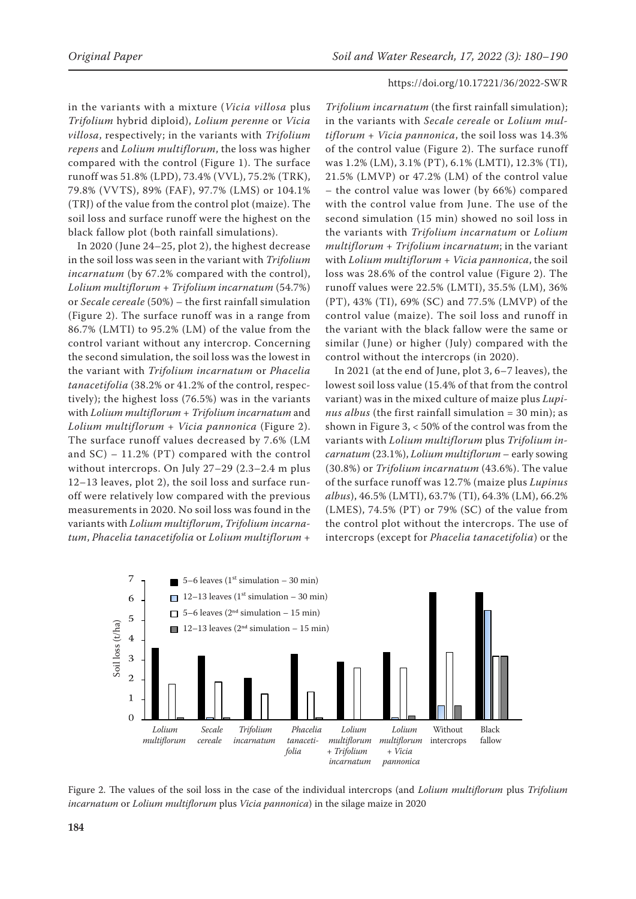in the variants with a mixture (*Vicia villosa* plus *Trifolium* hybrid diploid), *Lolium perenne* or *Vicia villosa*, respectively; in the variants with *Trifolium repens* and *Lolium multiflorum*, the loss was higher compared with the control (Figure 1). The surface runoff was 51.8% (LPD), 73.4% (VVL), 75.2% (TRK), 79.8% (VVTS), 89% (FAF), 97.7% (LMS) or 104.1% (TRJ) of the value from the control plot (maize). The soil loss and surface runoff were the highest on the black fallow plot (both rainfall simulations).

In 2020 (June 24–25, plot 2), the highest decrease in the soil loss was seen in the variant with *Trifolium incarnatum* (by 67.2% compared with the control), *Lolium multiflorum* + *Trifolium incarnatum* (54.7%) or *Secale cereale* (50%) – the first rainfall simulation (Figure 2). The surface runoff was in a range from 86.7% (LMTI) to 95.2% (LM) of the value from the control variant without any intercrop. Concerning the second simulation, the soil loss was the lowest in the variant with *Trifolium incarnatum* or *Phacelia tanacetifolia* (38.2% or 41.2% of the control, respectively); the highest loss (76.5%) was in the variants with *Lolium multiflorum* + *Trifolium incarnatum* and *Lolium multiflorum* + *Vicia pannonica* (Figure 2). The surface runoff values decreased by 7.6% (LM and  $SC$ ) – 11.2% (PT) compared with the control without intercrops. On July 27–29 (2.3–2.4 m plus 12–13 leaves, plot 2), the soil loss and surface runoff were relatively low compared with the previous measurements in 2020. No soil loss was found in the variants with *Lolium multiflorum*, *Trifolium incarnatum*, *Phacelia tanacetifolia* or *Lolium multiflorum* +

*Trifolium incarnatum* (the first rainfall simulation); in the variants with *Secale cereale* or *Lolium multiflorum* + *Vicia pannonica*, the soil loss was 14.3% of the control value (Figure 2). The surface runoff was 1.2% (LM), 3.1% (PT), 6.1% (LMTI), 12.3% (TI), 21.5% (LMVP) or 47.2% (LM) of the control value – the control value was lower (by 66%) compared with the control value from June. The use of the second simulation (15 min) showed no soil loss in the variants with *Trifolium incarnatum* or *Lolium multiflorum* + *Trifolium incarnatum*; in the variant with *Lolium multiflorum* + *Vicia pannonica*, the soil loss was 28.6% of the control value (Figure 2). The runoff values were 22.5% (LMTI), 35.5% (LM), 36% (PT), 43% (TI), 69% (SC) and 77.5% (LMVP) of the control value (maize). The soil loss and runoff in the variant with the black fallow were the same or similar (June) or higher (July) compared with the control without the intercrops (in 2020).

In 2021 (at the end of June, plot 3, 6–7 leaves), the lowest soil loss value (15.4% of that from the control variant) was in the mixed culture of maize plus *Lupinus albus* (the first rainfall simulation = 30 min); as shown in Figure 3, < 50% of the control was from the variants with *Lolium multiflorum* plus *Trifolium incarnatum* (23.1%), *Lolium multiflorum* – early sowing (30.8%) or *Trifolium incarnatum* (43.6%). The value of the surface runoff was 12.7% (maize plus *Lupinus albus*), 46.5% (LMTI), 63.7% (TI), 64.3% (LM), 66.2% (LMES), 74.5% (PT) or 79% (SC) of the value from the control plot without the intercrops. The use of intercrops (except for *Phacelia tanacetifolia*) or the



Figure 2. The values of the soil loss in the case of the individual intercrops (and *Lolium multiflorum* plus *Trifolium incarnatum* or *Lolium multiflorum* plus *Vicia pannonica*) in the silage maize in 2020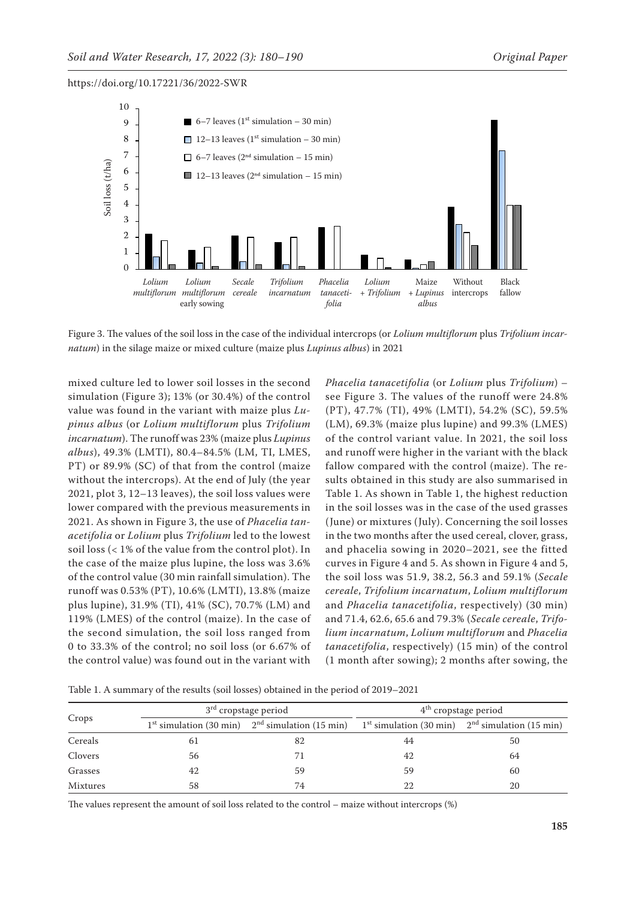

Figure 3. The values of the soil loss in the case of the individual intercrops (or *Lolium multiflorum* plus *Trifolium incarnatum*) in the silage maize or mixed culture (maize plus *Lupinus albus*) in 2021

mixed culture led to lower soil losses in the second simulation (Figure 3); 13% (or 30.4%) of the control value was found in the variant with maize plus *Lupinus albus* (or *Lolium multiflorum* plus *Trifolium incarnatum*). The runoff was 23% (maize plus *Lupinus albus*), 49.3% (LMTI), 80.4–84.5% (LM, TI, LMES, PT) or 89.9% (SC) of that from the control (maize without the intercrops). At the end of July (the year 2021, plot 3, 12–13 leaves), the soil loss values were lower compared with the previous measurements in 2021. As shown in Figure 3, the use of *Phacelia tanacetifolia* or *Lolium* plus *Trifolium* led to the lowest soil loss (< 1% of the value from the control plot). In the case of the maize plus lupine, the loss was 3.6% of the control value (30 min rainfall simulation). The runoff was 0.53% (PT), 10.6% (LMTI), 13.8% (maize plus lupine), 31.9% (TI), 41% (SC), 70.7% (LM) and 119% (LMES) of the control (maize). In the case of the second simulation, the soil loss ranged from 0 to 33.3% of the control; no soil loss (or 6.67% of the control value) was found out in the variant with *Phacelia tanacetifolia* (or *Lolium* plus *Trifolium*) – see Figure 3. The values of the runoff were 24.8% (PT), 47.7% (TI), 49% (LMTI), 54.2% (SC), 59.5% (LM), 69.3% (maize plus lupine) and 99.3% (LMES) of the control variant value. In 2021, the soil loss and runoff were higher in the variant with the black fallow compared with the control (maize). The results obtained in this study are also summarised in Table 1. As shown in Table 1, the highest reduction in the soil losses was in the case of the used grasses (June) or mixtures (July). Concerning the soil losses in the two months after the used cereal, clover, grass, and phacelia sowing in 2020–2021, see the fitted curves in Figure 4 and 5. As shown in Figure 4 and 5, the soil loss was 51.9, 38.2, 56.3 and 59.1% (*Secale cereale*, *Trifolium incarnatum*, *Lolium multiflorum* and *Phacelia tanacetifolia*, respectively) (30 min) and 71.4, 62.6, 65.6 and 79.3% (*Secale cereale*, *Trifolium incarnatum*, *Lolium multiflorum* and *Phacelia tanacetifolia*, respectively) (15 min) of the control (1 month after sowing); 2 months after sowing, the

Table 1. A summary of the results (soil losses) obtained in the period of 2019–2021

| Crops           | $3rd$ cropstage period |                                                     | $4th$ cropstage period                              |    |
|-----------------|------------------------|-----------------------------------------------------|-----------------------------------------------------|----|
|                 |                        | $1st$ simulation (30 min) $2nd$ simulation (15 min) | $1st$ simulation (30 min) $2nd$ simulation (15 min) |    |
| Cereals         | 61                     | 82                                                  | 44                                                  | 50 |
| Clovers         | 56                     |                                                     | 42                                                  | 64 |
| Grasses         | 42                     | 59                                                  | 59                                                  | 60 |
| <b>Mixtures</b> | 58                     | 74                                                  |                                                     | 20 |

The values represent the amount of soil loss related to the control – maize without intercrops (%)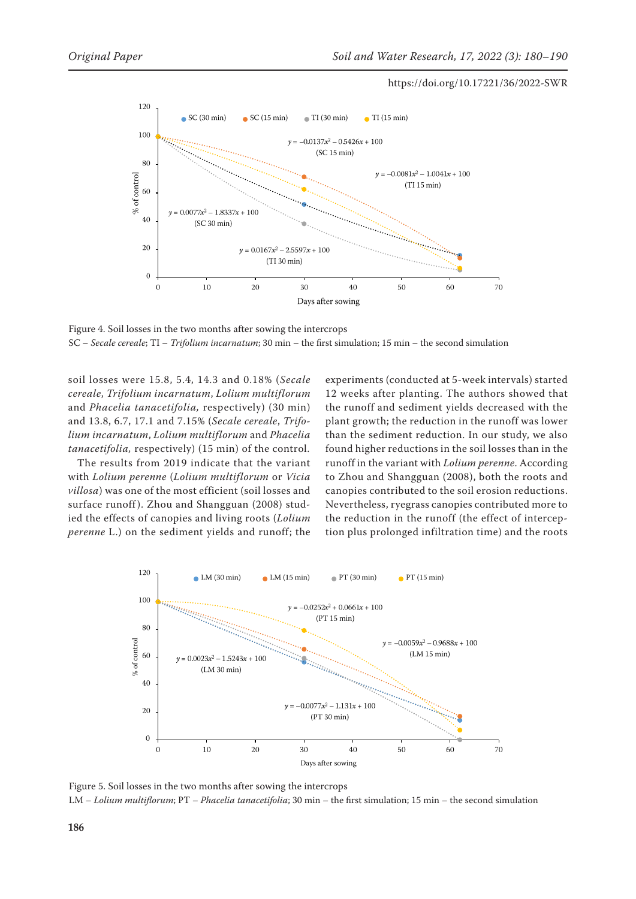

Figure 4. Soil losses in the two months after sowing the intercrops SC – *Secale cereale*; TI – *Trifolium incarnatum*; 30 min – the first simulation; 15 min – the second simulation

soil losses were 15.8, 5.4, 14.3 and 0.18% (*Secale cereale*, *Trifolium incarnatum*, *Lolium multiflorum* and *Phacelia tanacetifolia,* respectively) (30 min) and 13.8, 6.7, 17.1 and 7.15% (*Secale cereale*, *Trifolium incarnatum*, *Lolium multiflorum* and *Phacelia tanacetifolia,* respectively) (15 min) of the control.

The results from 2019 indicate that the variant with *Lolium perenne* (*Lolium multiflorum* or *Vicia villosa*) was one of the most efficient (soil losses and surface runoff). Zhou and Shangguan (2008) studied the effects of canopies and living roots (*Lolium perenne* L.) on the sediment yields and runoff; the experiments (conducted at 5-week intervals) started 12 weeks after planting. The authors showed that the runoff and sediment yields decreased with the plant growth; the reduction in the runoff was lower than the sediment reduction. In our study, we also found higher reductions in the soil losses than in the runoff in the variant with *Lolium perenne*. According to Zhou and Shangguan (2008), both the roots and canopies contributed to the soil erosion reductions. Nevertheless, ryegrass canopies contributed more to the reduction in the runoff (the effect of interception plus prolonged infiltration time) and the roots



Figure 5. Soil losses in the two months after sowing the intercrops LM – *Lolium multiflorum*; PT – *Phacelia tanacetifolia*; 30 min – the first simulation; 15 min – the second simulation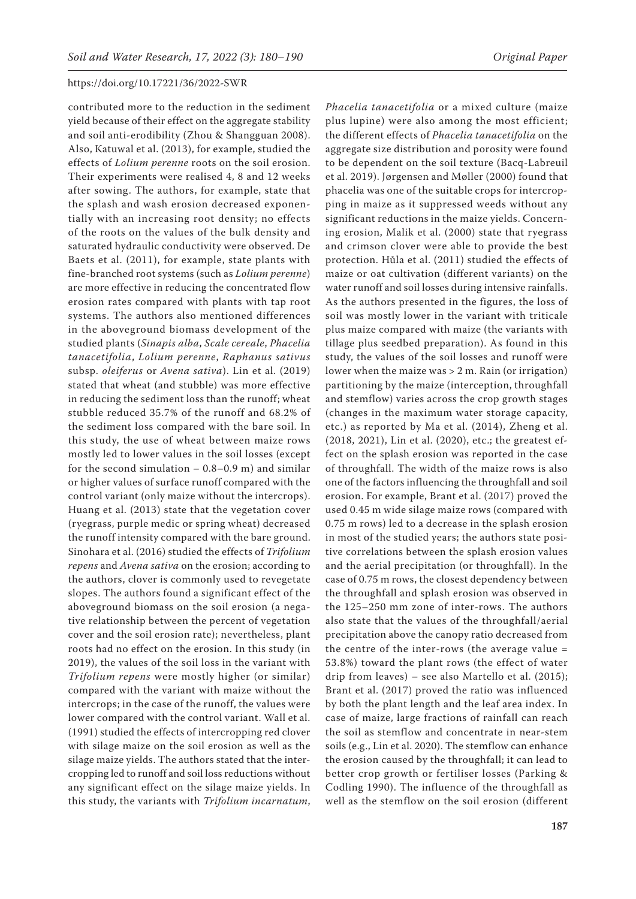contributed more to the reduction in the sediment yield because of their effect on the aggregate stability and soil anti-erodibility (Zhou & Shangguan 2008). Also, Katuwal et al. (2013), for example, studied the effects of *Lolium perenne* roots on the soil erosion. Their experiments were realised 4, 8 and 12 weeks after sowing. The authors, for example, state that the splash and wash erosion decreased exponentially with an increasing root density; no effects of the roots on the values of the bulk density and saturated hydraulic conductivity were observed. De Baets et al. (2011), for example, state plants with fine-branched root systems (such as *Lolium perenne*) are more effective in reducing the concentrated flow erosion rates compared with plants with tap root systems. The authors also mentioned differences in the aboveground biomass development of the studied plants (*Sinapis alba*, *Scale cereale*, *Phacelia tanacetifolia*, *Lolium perenne*, *Raphanus sativus*  subsp. *oleiferus* or *Avena sativa*). Lin et al. (2019) stated that wheat (and stubble) was more effective in reducing the sediment loss than the runoff; wheat stubble reduced 35.7% of the runoff and 68.2% of the sediment loss compared with the bare soil. In this study, the use of wheat between maize rows mostly led to lower values in the soil losses (except for the second simulation  $-0.8-0.9$  m) and similar or higher values of surface runoff compared with the control variant (only maize without the intercrops). Huang et al. (2013) state that the vegetation cover (ryegrass, purple medic or spring wheat) decreased the runoff intensity compared with the bare ground. Sinohara et al. (2016) studied the effects of *Trifolium repens* and *Avena sativa* on the erosion; according to the authors, clover is commonly used to revegetate slopes. The authors found a significant effect of the aboveground biomass on the soil erosion (a negative relationship between the percent of vegetation cover and the soil erosion rate); nevertheless, plant roots had no effect on the erosion. In this study (in 2019), the values of the soil loss in the variant with *Trifolium repens* were mostly higher (or similar) compared with the variant with maize without the intercrops; in the case of the runoff, the values were lower compared with the control variant. Wall et al. (1991) studied the effects of intercropping red clover with silage maize on the soil erosion as well as the silage maize yields. The authors stated that the intercropping led to runoff and soil loss reductions without any significant effect on the silage maize yields. In this study, the variants with *Trifolium incarnatum*,

*Phacelia tanacetifolia* or a mixed culture (maize plus lupine) were also among the most efficient; the different effects of *Phacelia tanacetifolia* on the aggregate size distribution and porosity were found to be dependent on the soil texture (Bacq-Labreuil et al. 2019). Jørgensen and Møller (2000) found that phacelia was one of the suitable crops for intercropping in maize as it suppressed weeds without any significant reductions in the maize yields. Concerning erosion, Malik et al. (2000) state that ryegrass and crimson clover were able to provide the best protection. Hůla et al. (2011) studied the effects of maize or oat cultivation (different variants) on the water runoff and soil losses during intensive rainfalls. As the authors presented in the figures, the loss of soil was mostly lower in the variant with triticale plus maize compared with maize (the variants with tillage plus seedbed preparation). As found in this study, the values of the soil losses and runoff were lower when the maize was > 2 m. Rain (or irrigation) partitioning by the maize (interception, throughfall and stemflow) varies across the crop growth stages (changes in the maximum water storage capacity, etc.) as reported by Ma et al. (2014), Zheng et al. (2018, 2021), Lin et al. (2020), etc.; the greatest effect on the splash erosion was reported in the case of throughfall. The width of the maize rows is also one of the factors influencing the throughfall and soil erosion. For example, Brant et al. (2017) proved the used 0.45 m wide silage maize rows (compared with 0.75 m rows) led to a decrease in the splash erosion in most of the studied years; the authors state positive correlations between the splash erosion values and the aerial precipitation (or throughfall). In the case of 0.75 m rows, the closest dependency between the throughfall and splash erosion was observed in the 125–250 mm zone of inter-rows. The authors also state that the values of the throughfall/aerial precipitation above the canopy ratio decreased from the centre of the inter-rows (the average value = 53.8%) toward the plant rows (the effect of water drip from leaves) – see also Martello et al. (2015); Brant et al. (2017) proved the ratio was influenced by both the plant length and the leaf area index. In case of maize, large fractions of rainfall can reach the soil as stemflow and concentrate in near-stem soils (e.g., Lin et al. 2020). The stemflow can enhance the erosion caused by the throughfall; it can lead to better crop growth or fertiliser losses (Parking & Codling 1990). The influence of the throughfall as well as the stemflow on the soil erosion (different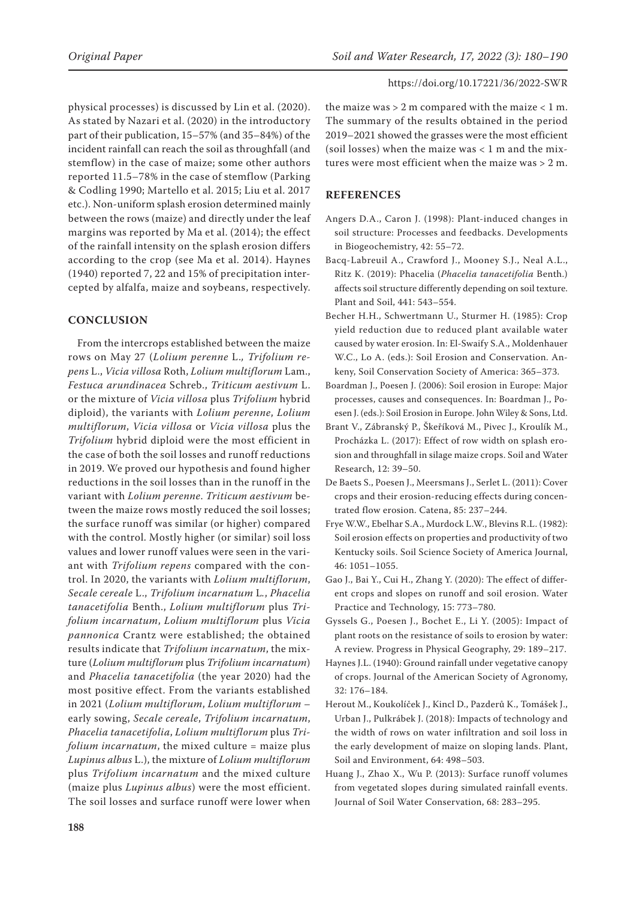physical processes) is discussed by Lin et al. (2020). As stated by Nazari et al. (2020) in the introductory part of their publication, 15–57% (and 35–84%) of the incident rainfall can reach the soil as throughfall (and stemflow) in the case of maize; some other authors reported 11.5–78% in the case of stemflow (Parking & Codling 1990; Martello et al. 2015; Liu et al. 2017 etc.). Non-uniform splash erosion determined mainly between the rows (maize) and directly under the leaf margins was reported by Ma et al. (2014); the effect of the rainfall intensity on the splash erosion differs according to the crop (see Ma et al. 2014). Haynes (1940) reported 7, 22 and 15% of precipitation intercepted by alfalfa, maize and soybeans, respectively.

# **CONCLUSION**

From the intercrops established between the maize rows on May 27 (*Lolium perenne* L.*, Trifolium repens* L., *Vicia villosa* Roth, *Lolium multiflorum* Lam., *Festuca arundinacea* Schreb., *Triticum aestivum* L. or the mixture of *Vicia villosa* plus *Trifolium* hybrid diploid), the variants with *Lolium perenne*, *Lolium multiflorum*, *Vicia villosa* or *Vicia villosa* plus the *Trifolium* hybrid diploid were the most efficient in the case of both the soil losses and runoff reductions in 2019. We proved our hypothesis and found higher reductions in the soil losses than in the runoff in the variant with *Lolium perenne*. *Triticum aestivum* between the maize rows mostly reduced the soil losses; the surface runoff was similar (or higher) compared with the control. Mostly higher (or similar) soil loss values and lower runoff values were seen in the variant with *Trifolium repens* compared with the control. In 2020, the variants with *Lolium multiflorum*, *Secale cereale* L., *Trifolium incarnatum* L*.*, *Phacelia tanacetifolia* Benth., *Lolium multiflorum* plus *Trifolium incarnatum*, *Lolium multiflorum* plus *Vicia pannonica* Crantz were established; the obtained results indicate that *Trifolium incarnatum*, the mixture (*Lolium multiflorum* plus *Trifolium incarnatum*) and *Phacelia tanacetifolia* (the year 2020) had the most positive effect. From the variants established in 2021 (*Lolium multiflorum*, *Lolium multiflorum* – early sowing, *Secale cereale*, *Trifolium incarnatum*, *Phacelia tanacetifolia*, *Lolium multiflorum* plus *Trifolium incarnatum*, the mixed culture = maize plus *Lupinus albus* L.), the mixture of *Lolium multiflorum*  plus *Trifolium incarnatum* and the mixed culture (maize plus *Lupinus albus*) were the most efficient. The soil losses and surface runoff were lower when

the maize was  $> 2$  m compared with the maize  $< 1$  m. The summary of the results obtained in the period 2019–2021 showed the grasses were the most efficient (soil losses) when the maize was  $< 1$  m and the mixtures were most efficient when the maize was > 2 m.

# **REFERENCES**

- Angers D.A., Caron J. (1998): Plant-induced changes in soil structure: Processes and feedbacks. Developments in Biogeochemistry, 42: 55–72.
- Bacq-Labreuil A., Crawford J., Mooney S.J., Neal A.L., Ritz K. (2019): Phacelia (*Phacelia tanacetifolia* Benth.) affects soil structure differently depending on soil texture. Plant and Soil, 441: 543–554.
- Becher H.H., Schwertmann U., Sturmer H. (1985): Crop yield reduction due to reduced plant available water caused by water erosion. In: El-Swaify S.A., Moldenhauer W.C., Lo A. (eds.): Soil Erosion and Conservation. Ankeny, Soil Conservation Society of America: 365–373.
- Boardman J., Poesen J. (2006): Soil erosion in Europe: Major processes, causes and consequences. In: Boardman J., Poesen J. (eds.): Soil Erosion in Europe. John Wiley & Sons, Ltd.
- Brant V., Zábranský P., Škeříková M., Pivec J., Kroulík M., Procházka L. (2017): Effect of row width on splash erosion and throughfall in silage maize crops. Soil and Water Research, 12: 39–50.
- De Baets S., Poesen J., Meersmans J., Serlet L. (2011): Cover crops and their erosion-reducing effects during concentrated flow erosion. Catena, 85: 237–244.
- Frye W.W., Ebelhar S.A., Murdock L.W., Blevins R.L. (1982): Soil erosion effects on properties and productivity of two Kentucky soils. Soil Science Society of America Journal, 46: 1051–1055.
- Gao J., Bai Y., Cui H., Zhang Y. (2020): The effect of different crops and slopes on runoff and soil erosion. Water Practice and Technology, 15: 773–780.
- Gyssels G., Poesen J., Bochet E., Li Y. (2005): Impact of plant roots on the resistance of soils to erosion by water: A review. Progress in Physical Geography, 29: 189–217.
- Haynes J.L. (1940): Ground rainfall under vegetative canopy of crops. Journal of the American Society of Agronomy, 32: 176–184.
- Herout M., Koukolíček J., Kincl D., Pazderů K., Tomášek J., Urban J., Pulkrábek J. (2018): Impacts of technology and the width of rows on water infiltration and soil loss in the early development of maize on sloping lands. Plant, Soil and Environment, 64: 498–503.
- Huang J., Zhao X., Wu P. (2013): Surface runoff volumes from vegetated slopes during simulated rainfall events. Journal of Soil Water Conservation, 68: 283–295.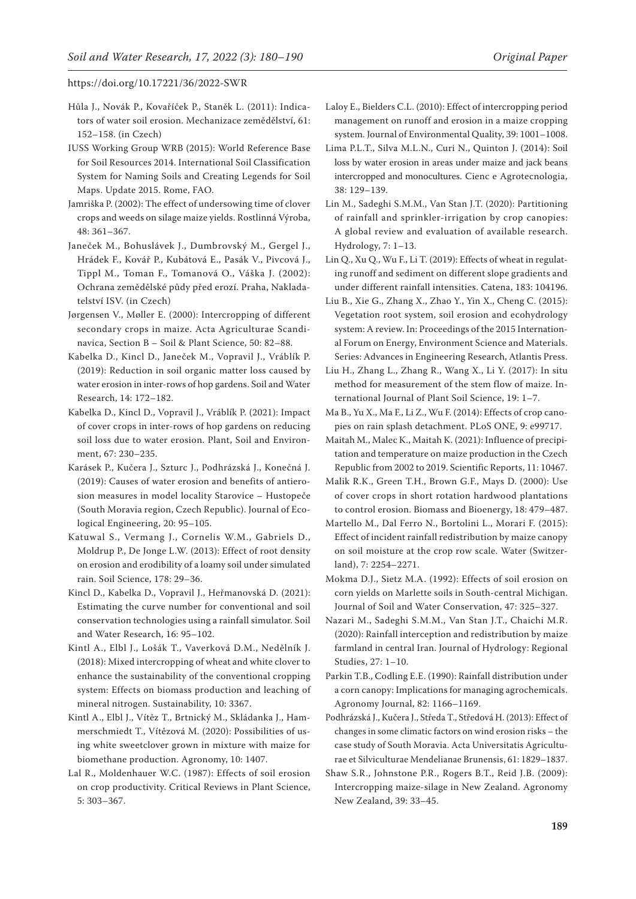- Hůla J., Novák P., Kovaříček P., Staněk L. (2011): Indicators of water soil erosion. Mechanizace zemědělství, 61: 152–158. (in Czech)
- IUSS Working Group WRB (2015): World Reference Base for Soil Resources 2014. International Soil Classification System for Naming Soils and Creating Legends for Soil Maps. Update 2015. Rome, FAO.
- Jamriška P. (2002): The effect of undersowing time of clover crops and weeds on silage maize yields. Rostlinná Výroba, 48: 361–367.
- Janeček M., Bohuslávek J., Dumbrovský M., Gergel J., Hrádek F., Kovář P., Kubátová E., Pasák V., Pivcová J., Tippl M., Toman F., Tomanová O., Váška J. (2002): Ochrana zemědělské půdy před erozí. Praha, Nakladatelství ISV. (in Czech)
- Jørgensen V., Møller E. (2000): Intercropping of different secondary crops in maize. Acta Agriculturae Scandinavica, Section B – Soil & Plant Science, 50: 82–88.
- Kabelka D., Kincl D., Janeček M., Vopravil J., Vráblík P. (2019): Reduction in soil organic matter loss caused by water erosion in inter-rows of hop gardens. Soil and Water Research, 14: 172–182.
- Kabelka D., Kincl D., Vopravil J., Vráblík P. (2021): Impact of cover crops in inter-rows of hop gardens on reducing soil loss due to water erosion. Plant, Soil and Environment, 67: 230–235.
- Karásek P., Kučera J., Szturc J., Podhrázská J., Konečná J. (2019): Causes of water erosion and benefits of antierosion measures in model locality Starovice – Hustopeče (South Moravia region, Czech Republic). Journal of Ecological Engineering, 20: 95–105.
- Katuwal S., Vermang J., Cornelis W.M., Gabriels D., Moldrup P., De Jonge L.W. (2013): Effect of root density on erosion and erodibility of a loamy soil under simulated rain. Soil Science, 178: 29–36.
- Kincl D., Kabelka D., Vopravil J., Heřmanovská D. (2021): Estimating the curve number for conventional and soil conservation technologies using a rainfall simulator. Soil and Water Research, 16: 95–102.
- Kintl A., Elbl J., Lošák T., Vaverková D.M., Nedělník J. (2018): Mixed intercropping of wheat and white clover to enhance the sustainability of the conventional cropping system: Effects on biomass production and leaching of mineral nitrogen. Sustainability, 10: 3367.
- Kintl A., Elbl J., Vítěz T., Brtnický M., Skládanka J., Hammerschmiedt T., Vítězová M. (2020): Possibilities of using white sweetclover grown in mixture with maize for biomethane production. Agronomy, 10: 1407.
- Lal R., Moldenhauer W.C. (1987): Effects of soil erosion on crop productivity. Critical Reviews in Plant Science, 5: 303–367.
- Laloy E., Bielders C.L. (2010): Effect of intercropping period management on runoff and erosion in a maize cropping system. Journal of Environmental Quality, 39: 1001–1008.
- Lima P.L.T., Silva M.L.N., Curi N., Quinton J. (2014): Soil loss by water erosion in areas under maize and jack beans intercropped and monocultures. Cienc e Agrotecnologia, 38: 129–139.
- Lin M., Sadeghi S.M.M., Van Stan J.T. (2020): Partitioning of rainfall and sprinkler-irrigation by crop canopies: A global review and evaluation of available research. Hydrology, 7: 1–13.
- Lin Q., Xu Q., Wu F., Li T. (2019): Effects of wheat in regulating runoff and sediment on different slope gradients and under different rainfall intensities. Catena, 183: 104196.
- Liu B., Xie G., Zhang X., Zhao Y., Yin X., Cheng C. (2015): Vegetation root system, soil erosion and ecohydrology system: A review. In: Proceedings of the 2015 International Forum on Energy, Environment Science and Materials. Series: Advances in Engineering Research, Atlantis Press.
- Liu H., Zhang L., Zhang R., Wang X., Li Y. (2017): In situ method for measurement of the stem flow of maize. International Journal of Plant Soil Science, 19: 1–7.
- Ma B., Yu X., Ma F., Li Z., Wu F. (2014): Effects of crop canopies on rain splash detachment. PLoS ONE, 9: e99717.
- Maitah M., Malec K., Maitah K. (2021): Influence of precipitation and temperature on maize production in the Czech Republic from 2002 to 2019. Scientific Reports, 11: 10467.
- Malik R.K., Green T.H., Brown G.F., Mays D. (2000): Use of cover crops in short rotation hardwood plantations to control erosion. Biomass and Bioenergy, 18: 479–487.
- Martello M., Dal Ferro N., Bortolini L., Morari F. (2015): Effect of incident rainfall redistribution by maize canopy on soil moisture at the crop row scale. Water (Switzerland), 7: 2254–2271.
- Mokma D.J., Sietz M.A. (1992): Effects of soil erosion on corn yields on Marlette soils in South-central Michigan. Journal of Soil and Water Conservation, 47: 325–327.
- Nazari M., Sadeghi S.M.M., Van Stan J.T., Chaichi M.R. (2020): Rainfall interception and redistribution by maize farmland in central Iran. Journal of Hydrology: Regional Studies, 27: 1–10.
- Parkin T.B., Codling E.E. (1990): Rainfall distribution under a corn canopy: Implications for managing agrochemicals. Agronomy Journal, 82: 1166–1169.
- Podhrázská J., Kučera J., Středa T., Středová H. (2013): Effect of changes in some climatic factors on wind erosion risks – the case study of South Moravia. Acta Universitatis Agriculturae et Silviculturae Mendelianae Brunensis, 61: 1829–1837.
- Shaw S.R., Johnstone P.R., Rogers B.T., Reid J.B. (2009): Intercropping maize-silage in New Zealand. Agronomy New Zealand, 39: 33–45.